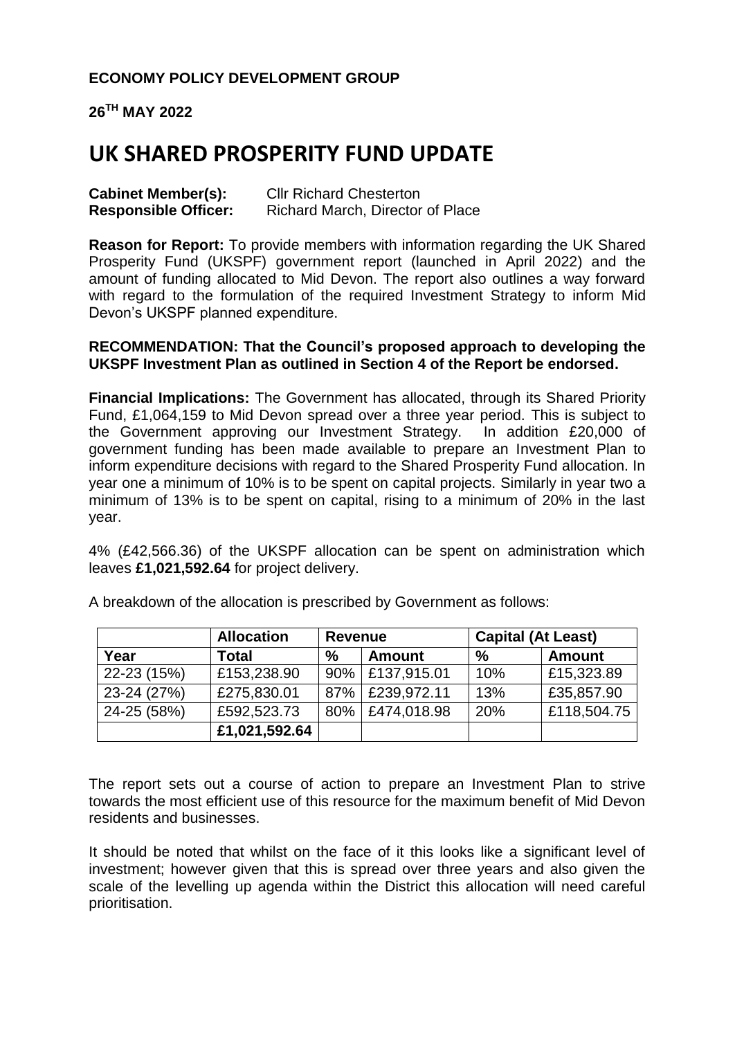# **ECONOMY POLICY DEVELOPMENT GROUP**

**26TH MAY 2022**

# **UK SHARED PROSPERITY FUND UPDATE**

| <b>Cabinet Member(s):</b>   | <b>CIIr Richard Chesterton</b>   |  |  |
|-----------------------------|----------------------------------|--|--|
| <b>Responsible Officer:</b> | Richard March, Director of Place |  |  |

**Reason for Report:** To provide members with information regarding the UK Shared Prosperity Fund (UKSPF) government report (launched in April 2022) and the amount of funding allocated to Mid Devon. The report also outlines a way forward with regard to the formulation of the required Investment Strategy to inform Mid Devon's UKSPF planned expenditure.

#### **RECOMMENDATION: That the Council's proposed approach to developing the UKSPF Investment Plan as outlined in Section 4 of the Report be endorsed.**

**Financial Implications:** The Government has allocated, through its Shared Priority Fund, £1,064,159 to Mid Devon spread over a three year period. This is subject to the Government approving our Investment Strategy. In addition £20,000 of government funding has been made available to prepare an Investment Plan to inform expenditure decisions with regard to the Shared Prosperity Fund allocation. In year one a minimum of 10% is to be spent on capital projects. Similarly in year two a minimum of 13% is to be spent on capital, rising to a minimum of 20% in the last year.

4% (£42,566.36) of the UKSPF allocation can be spent on administration which leaves **£1,021,592.64** for project delivery.

|             | <b>Allocation</b> | <b>Revenue</b> |                   | <b>Capital (At Least)</b> |               |
|-------------|-------------------|----------------|-------------------|---------------------------|---------------|
| Year        | Total             | $\%$           | <b>Amount</b>     | $\%$                      | <b>Amount</b> |
| 22-23 (15%) | £153,238.90       |                | 90%   £137,915.01 | 10%                       | £15,323.89    |
| 23-24 (27%) | £275,830.01       |                | 87%   £239,972.11 | 13%                       | £35,857.90    |
| 24-25 (58%) | £592,523.73       |                | 80%   £474,018.98 | 20%                       | £118,504.75   |
|             | £1,021,592.64     |                |                   |                           |               |

A breakdown of the allocation is prescribed by Government as follows:

The report sets out a course of action to prepare an Investment Plan to strive towards the most efficient use of this resource for the maximum benefit of Mid Devon residents and businesses.

It should be noted that whilst on the face of it this looks like a significant level of investment; however given that this is spread over three years and also given the scale of the levelling up agenda within the District this allocation will need careful prioritisation.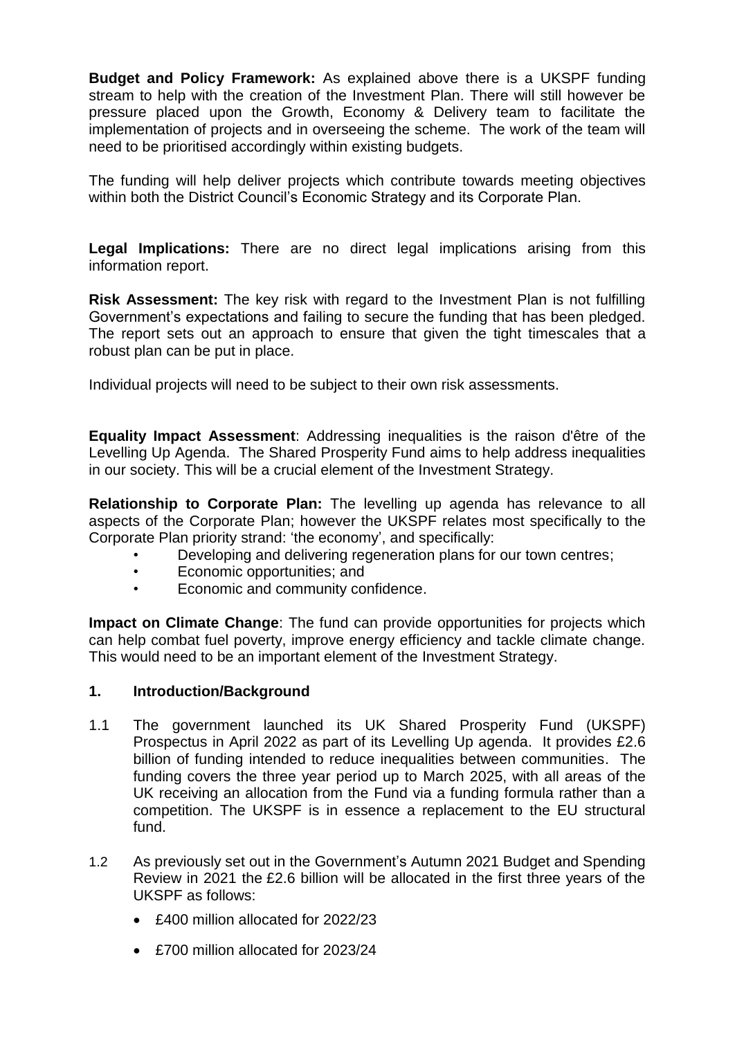**Budget and Policy Framework:** As explained above there is a UKSPF funding stream to help with the creation of the Investment Plan. There will still however be pressure placed upon the Growth, Economy & Delivery team to facilitate the implementation of projects and in overseeing the scheme. The work of the team will need to be prioritised accordingly within existing budgets.

The funding will help deliver projects which contribute towards meeting objectives within both the District Council's Economic Strategy and its Corporate Plan.

**Legal Implications:** There are no direct legal implications arising from this information report.

**Risk Assessment:** The key risk with regard to the Investment Plan is not fulfilling Government's expectations and failing to secure the funding that has been pledged. The report sets out an approach to ensure that given the tight timescales that a robust plan can be put in place.

Individual projects will need to be subject to their own risk assessments.

**Equality Impact Assessment**: Addressing inequalities is the raison d'être of the Levelling Up Agenda. The Shared Prosperity Fund aims to help address inequalities in our society. This will be a crucial element of the Investment Strategy.

**Relationship to Corporate Plan:** The levelling up agenda has relevance to all aspects of the Corporate Plan; however the UKSPF relates most specifically to the Corporate Plan priority strand: 'the economy', and specifically:

- Developing and delivering regeneration plans for our town centres;
- Economic opportunities; and
- Economic and community confidence.

**Impact on Climate Change**: The fund can provide opportunities for projects which can help combat fuel poverty, improve energy efficiency and tackle climate change. This would need to be an important element of the Investment Strategy.

#### **1. Introduction/Background**

- 1.1 The government launched its UK Shared Prosperity Fund (UKSPF) Prospectus in April 2022 as part of its Levelling Up agenda. It provides £2.6 billion of funding intended to reduce inequalities between communities. The funding covers the three year period up to March 2025, with all areas of the UK receiving an allocation from the Fund via a funding formula rather than a competition. The UKSPF is in essence a replacement to the EU structural fund.
- 1.2 As previously set out in the Government's [Autumn 2021 Budget and Spending](https://www.gov.uk/government/publications/autumn-budget-and-spending-review-2021-documents/autumn-budget-and-spending-review-2021-html)  [Review in 2021](https://www.gov.uk/government/publications/autumn-budget-and-spending-review-2021-documents/autumn-budget-and-spending-review-2021-html) the £2.6 billion will be allocated in the first three years of the UKSPF as follows:
	- £400 million allocated for 2022/23
	- £700 million allocated for 2023/24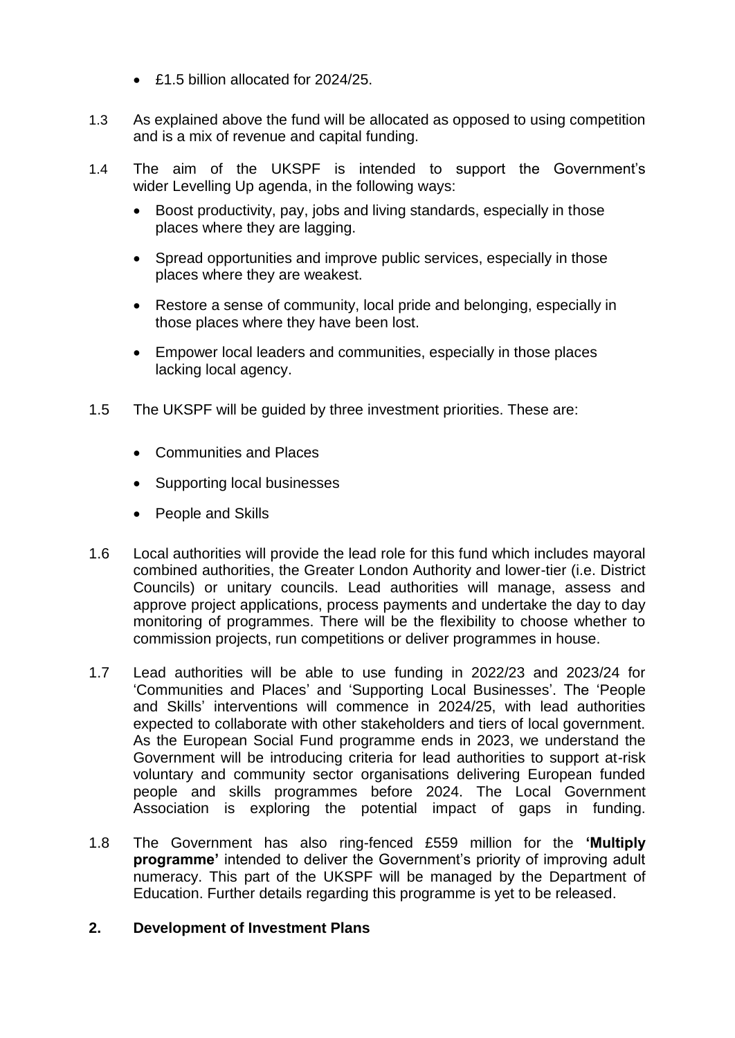- £1.5 billion allocated for 2024/25.
- 1.3 As explained above the fund will be allocated as opposed to using competition and is a mix of revenue and capital funding.
- 1.4 The aim of the UKSPF is intended to support the Government's wider [Levelling Up agenda,](https://www.local.gov.uk/parliament/briefings-and-responses/levelling-white-paper-lga-briefing) in the following ways:
	- Boost productivity, pay, jobs and living standards, especially in those places where they are lagging.
	- Spread opportunities and improve public services, especially in those places where they are weakest.
	- Restore a sense of community, local pride and belonging, especially in those places where they have been lost.
	- Empower local leaders and communities, especially in those places lacking local agency.
- 1.5 The UKSPF will be guided by three investment priorities. These are:
	- Communities and Places
	- Supporting local businesses
	- People and Skills
- 1.6 Local authorities will provide the lead role for this fund which includes mayoral combined authorities, the Greater London Authority and lower-tier (i.e. District Councils) or unitary councils. Lead authorities will manage, assess and approve project applications, process payments and undertake the day to day monitoring of programmes. There will be the flexibility to choose whether to commission projects, run competitions or deliver programmes in house.
- 1.7 Lead authorities will be able to use funding in 2022/23 and 2023/24 for 'Communities and Places' and 'Supporting Local Businesses'. The 'People and Skills' interventions will commence in 2024/25, with lead authorities expected to collaborate with other stakeholders and tiers of local government. As the European Social Fund programme ends in 2023, we understand the Government will be introducing criteria for lead authorities to support at-risk voluntary and community sector organisations delivering European funded people and skills programmes before 2024. The Local Government Association is exploring the potential impact of gaps in funding.
- 1.8 The Government has also ring-fenced £559 million for the **'Multiply programme'** intended to deliver the Government's priority of improving adult numeracy. This part of the UKSPF will be managed by the Department of Education. Further details regarding this programme is yet to be released.

### **2. Development of Investment Plans**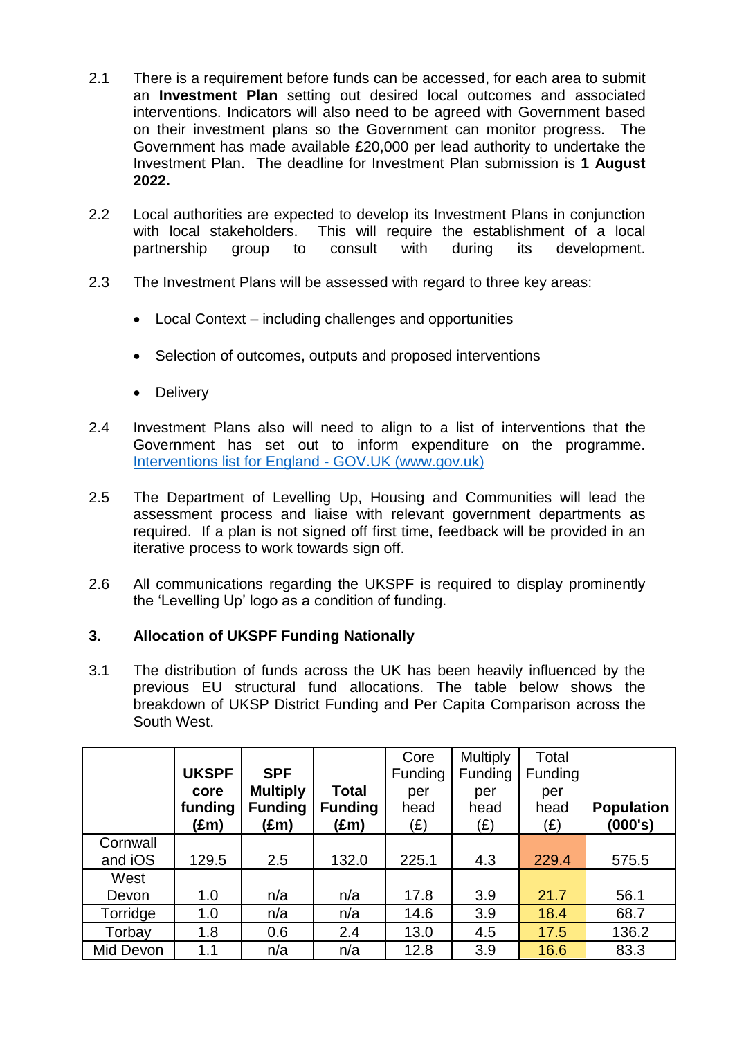- 2.1 There is a requirement before funds can be accessed, for each area to submit an **Investment Plan** setting out desired local outcomes and associated interventions. Indicators will also need to be agreed with Government based on their investment plans so the Government can monitor progress. The Government has made available £20,000 per lead authority to undertake the Investment Plan. The deadline for Investment Plan submission is **1 August 2022.**
- 2.2 Local authorities are expected to develop its Investment Plans in conjunction with local stakeholders. This will require the establishment of a local partnership group to consult with during its development.
- 2.3 The Investment Plans will be assessed with regard to three key areas:
	- Local Context including challenges and opportunities
	- Selection of outcomes, outputs and proposed interventions
	- Delivery
- 2.4 Investment Plans also will need to align to a list of interventions that the Government has set out to inform expenditure on the programme. [Interventions list for England -](https://www.gov.uk/government/publications/uk-shared-prosperity-fund-interventions-outputs-and-indicators/interventions-list-for-england#fn:1) GOV.UK (www.gov.uk)
- 2.5 The Department of Levelling Up, Housing and Communities will lead the assessment process and liaise with relevant government departments as required. If a plan is not signed off first time, feedback will be provided in an iterative process to work towards sign off.
- 2.6 All communications regarding the UKSPF is required to display prominently the 'Levelling Up' logo as a condition of funding.

# **3. Allocation of UKSPF Funding Nationally**

3.1 The distribution of funds across the UK has been heavily influenced by the previous EU structural fund allocations. The table below shows the breakdown of UKSP District Funding and Per Capita Comparison across the South West.

|           |              |                 |                | Core           | <b>Multiply</b> | Total   |                   |
|-----------|--------------|-----------------|----------------|----------------|-----------------|---------|-------------------|
|           | <b>UKSPF</b> | <b>SPF</b>      |                | <b>Funding</b> | Funding         | Funding |                   |
|           | core         | <b>Multiply</b> | <b>Total</b>   | per            | per             | per     |                   |
|           | funding      | <b>Funding</b>  | <b>Funding</b> | head           | head            | head    | <b>Population</b> |
|           | (£m)         | (£m)            | (£m)           | (£)            | (E)             | (E)     | (000's)           |
| Cornwall  |              |                 |                |                |                 |         |                   |
| and iOS   | 129.5        | 2.5             | 132.0          | 225.1          | 4.3             | 229.4   | 575.5             |
| West      |              |                 |                |                |                 |         |                   |
| Devon     | 1.0          | n/a             | n/a            | 17.8           | 3.9             | 21.7    | 56.1              |
| Torridge  | 1.0          | n/a             | n/a            | 14.6           | 3.9             | 18.4    | 68.7              |
| Torbay    | 1.8          | 0.6             | 2.4            | 13.0           | 4.5             | 17.5    | 136.2             |
| Mid Devon | 1.1          | n/a             | n/a            | 12.8           | 3.9             | 16.6    | 83.3              |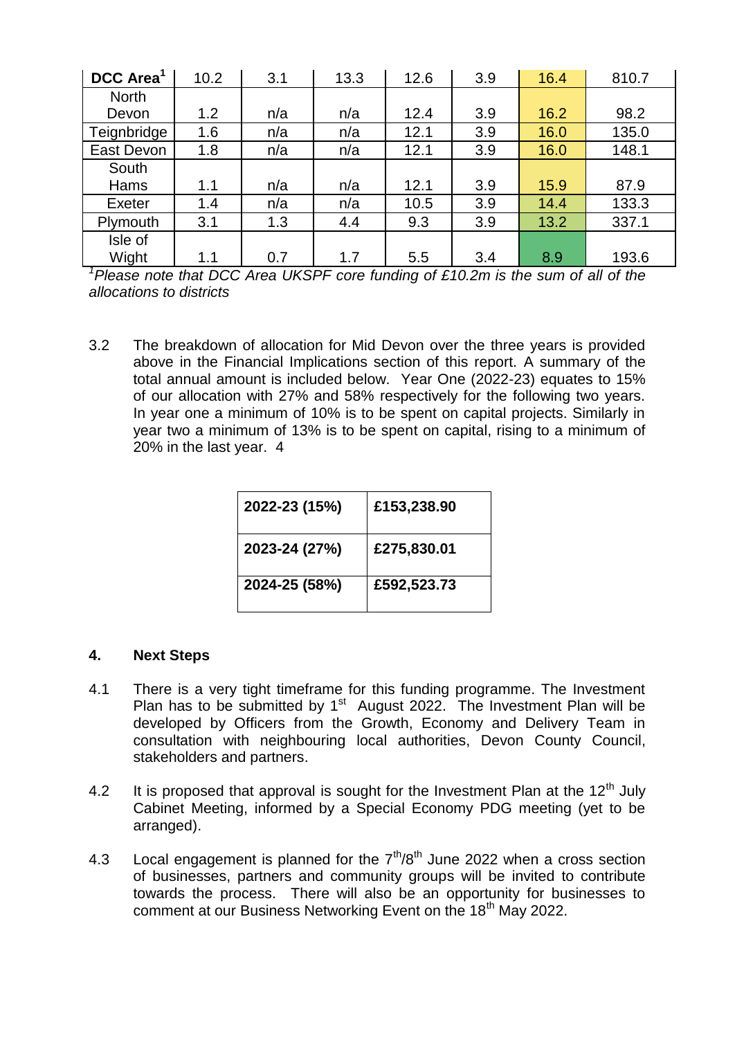| DCC Area <sup>1</sup> | 10.2 | 3.1 | 13.3 | 12.6 | 3.9 | 16.4 | 810.7 |
|-----------------------|------|-----|------|------|-----|------|-------|
| <b>North</b>          |      |     |      |      |     |      |       |
| Devon                 | 1.2  | n/a | n/a  | 12.4 | 3.9 | 16.2 | 98.2  |
| Teignbridge           | 1.6  | n/a | n/a  | 12.1 | 3.9 | 16.0 | 135.0 |
| East Devon            | 1.8  | n/a | n/a  | 12.1 | 3.9 | 16.0 | 148.1 |
| South                 |      |     |      |      |     |      |       |
| Hams                  | 1.1  | n/a | n/a  | 12.1 | 3.9 | 15.9 | 87.9  |
| Exeter                | 1.4  | n/a | n/a  | 10.5 | 3.9 | 14.4 | 133.3 |
| Plymouth              | 3.1  | 1.3 | 4.4  | 9.3  | 3.9 | 13.2 | 337.1 |
| Isle of               |      |     |      |      |     |      |       |
| Wight                 | 1.1  | 0.7 | 1.7  | 5.5  | 3.4 | 8.9  | 193.6 |

*<sup>1</sup>Please note that DCC Area UKSPF core funding of £10.2m is the sum of all of the allocations to districts*

3.2 The breakdown of allocation for Mid Devon over the three years is provided above in the Financial Implications section of this report. A summary of the total annual amount is included below. Year One (2022-23) equates to 15% of our allocation with 27% and 58% respectively for the following two years. In year one a minimum of 10% is to be spent on capital projects. Similarly in year two a minimum of 13% is to be spent on capital, rising to a minimum of 20% in the last year. 4

| 2022-23 (15%) | £153,238.90 |
|---------------|-------------|
| 2023-24 (27%) | £275,830.01 |
| 2024-25 (58%) | £592,523.73 |

# **4. Next Steps**

- 4.1 There is a very tight timeframe for this funding programme. The Investment Plan has to be submitted by  $1<sup>st</sup>$  August 2022. The Investment Plan will be developed by Officers from the Growth, Economy and Delivery Team in consultation with neighbouring local authorities, Devon County Council, stakeholders and partners.
- 4.2 It is proposed that approval is sought for the Investment Plan at the  $12<sup>th</sup>$  July Cabinet Meeting, informed by a Special Economy PDG meeting (yet to be arranged).
- 4.3 Local engagement is planned for the  $7<sup>th</sup>/8<sup>th</sup>$  June 2022 when a cross section of businesses, partners and community groups will be invited to contribute towards the process. There will also be an opportunity for businesses to comment at our Business Networking Event on the 18<sup>th</sup> May 2022.